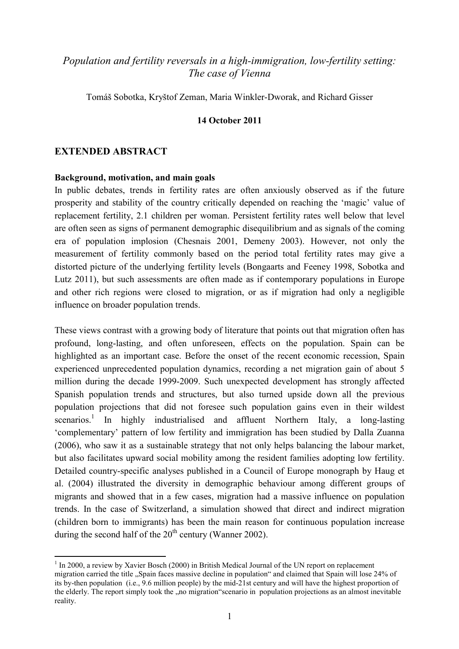# *Population and fertility reversals in a high-immigration, low-fertility setting: The case of Vienna*

Tomáš Sobotka, Kryštof Zeman, Maria Winkler-Dworak, and Richard Gisser

#### **14 October 2011**

## **EXTENDED ABSTRACT**

 $\overline{a}$ 

#### **Background, motivation, and main goals**

In public debates, trends in fertility rates are often anxiously observed as if the future prosperity and stability of the country critically depended on reaching the 'magic' value of replacement fertility, 2.1 children per woman. Persistent fertility rates well below that level are often seen as signs of permanent demographic disequilibrium and as signals of the coming era of population implosion (Chesnais 2001, Demeny 2003). However, not only the measurement of fertility commonly based on the period total fertility rates may give a distorted picture of the underlying fertility levels (Bongaarts and Feeney 1998, Sobotka and Lutz 2011), but such assessments are often made as if contemporary populations in Europe and other rich regions were closed to migration, or as if migration had only a negligible influence on broader population trends.

These views contrast with a growing body of literature that points out that migration often has profound, long-lasting, and often unforeseen, effects on the population. Spain can be highlighted as an important case. Before the onset of the recent economic recession, Spain experienced unprecedented population dynamics, recording a net migration gain of about 5 million during the decade 1999-2009. Such unexpected development has strongly affected Spanish population trends and structures, but also turned upside down all the previous population projections that did not foresee such population gains even in their wildest scenarios.<sup>1</sup> In highly industrialised and affluent Northern Italy, a long-lasting 'complementary' pattern of low fertility and immigration has been studied by Dalla Zuanna (2006), who saw it as a sustainable strategy that not only helps balancing the labour market, but also facilitates upward social mobility among the resident families adopting low fertility. Detailed country-specific analyses published in a Council of Europe monograph by Haug et al. (2004) illustrated the diversity in demographic behaviour among different groups of migrants and showed that in a few cases, migration had a massive influence on population trends. In the case of Switzerland, a simulation showed that direct and indirect migration (children born to immigrants) has been the main reason for continuous population increase during the second half of the  $20<sup>th</sup>$  century (Wanner 2002).

<sup>&</sup>lt;sup>1</sup> In 2000, a review by Xavier Bosch (2000) in British Medical Journal of the UN report on replacement migration carried the title "Spain faces massive decline in population" and claimed that Spain will lose 24% of its by-then population (i.e., 9.6 million people) by the mid-21st century and will have the highest proportion of the elderly. The report simply took the "no migration"scenario in population projections as an almost inevitable reality.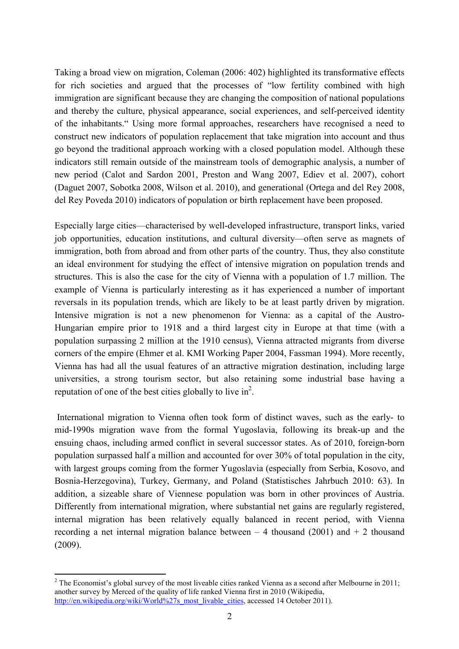Taking a broad view on migration, Coleman (2006: 402) highlighted its transformative effects for rich societies and argued that the processes of "low fertility combined with high immigration are significant because they are changing the composition of national populations and thereby the culture, physical appearance, social experiences, and self-perceived identity of the inhabitants." Using more formal approaches, researchers have recognised a need to construct new indicators of population replacement that take migration into account and thus go beyond the traditional approach working with a closed population model. Although these indicators still remain outside of the mainstream tools of demographic analysis, a number of new period (Calot and Sardon 2001, Preston and Wang 2007, Ediev et al. 2007), cohort (Daguet 2007, Sobotka 2008, Wilson et al. 2010), and generational (Ortega and del Rey 2008, del Rey Poveda 2010) indicators of population or birth replacement have been proposed.

Especially large cities—characterised by well-developed infrastructure, transport links, varied job opportunities, education institutions, and cultural diversity—often serve as magnets of immigration, both from abroad and from other parts of the country. Thus, they also constitute an ideal environment for studying the effect of intensive migration on population trends and structures. This is also the case for the city of Vienna with a population of 1.7 million. The example of Vienna is particularly interesting as it has experienced a number of important reversals in its population trends, which are likely to be at least partly driven by migration. Intensive migration is not a new phenomenon for Vienna: as a capital of the Austro-Hungarian empire prior to 1918 and a third largest city in Europe at that time (with a population surpassing 2 million at the 1910 census), Vienna attracted migrants from diverse corners of the empire (Ehmer et al. KMI Working Paper 2004, Fassman 1994). More recently, Vienna has had all the usual features of an attractive migration destination, including large universities, a strong tourism sector, but also retaining some industrial base having a reputation of one of the best cities globally to live in<sup>2</sup>.

 International migration to Vienna often took form of distinct waves, such as the early- to mid-1990s migration wave from the formal Yugoslavia, following its break-up and the ensuing chaos, including armed conflict in several successor states. As of 2010, foreign-born population surpassed half a million and accounted for over 30% of total population in the city, with largest groups coming from the former Yugoslavia (especially from Serbia, Kosovo, and Bosnia-Herzegovina), Turkey, Germany, and Poland (Statistisches Jahrbuch 2010: 63). In addition, a sizeable share of Viennese population was born in other provinces of Austria. Differently from international migration, where substantial net gains are regularly registered, internal migration has been relatively equally balanced in recent period, with Vienna recording a net internal migration balance between  $-4$  thousand (2001) and  $+2$  thousand (2009).

 $\overline{a}$ 

<sup>&</sup>lt;sup>2</sup> The Economist's global survey of the most liveable cities ranked Vienna as a second after Melbourne in 2011; another survey by Merced of the quality of life ranked Vienna first in 2010 (Wikipedia, [http://en.wikipedia.org/wiki/World%27s\\_most\\_livable\\_cities](http://en.wikipedia.org/wiki/World%27s_most_livable_cities), accessed 14 October 2011).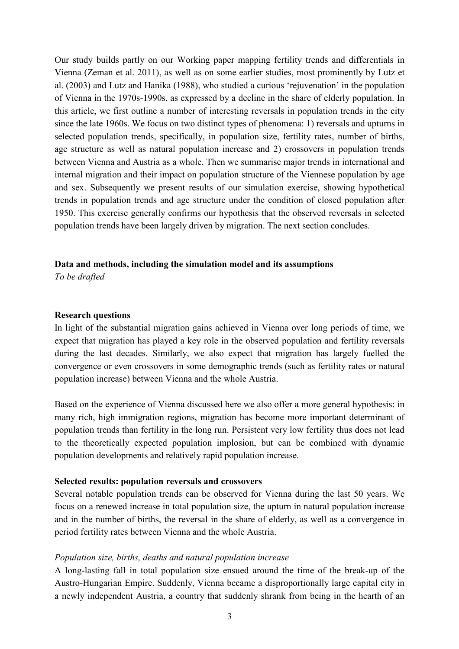Our study builds partly on our Working paper mapping fertility trends and differentials in Vienna (Zeman et al. 2011), as well as on some earlier studies, most prominently by Lutz et al. (2003) and Lutz and Hanika (1988), who studied a curious 'rejuvenation' in the population of Vienna in the 1970s-1990s, as expressed by a decline in the share of elderly population. In this article, we first outline a number of interesting reversals in population trends in the city since the late 1960s. We focus on two distinct types of phenomena: 1) reversals and upturns in selected population trends, specifically, in population size, fertility rates, number of births, age structure as well as natural population increase and 2) crossovers in population trends between Vienna and Austria as a whole. Then we summarise major trends in international and internal migration and their impact on population structure of the Viennese population by age and sex. Subsequently we present results of our simulation exercise, showing hypothetical trends in population trends and age structure under the condition of closed population after 1950. This exercise generally confirms our hypothesis that the observed reversals in selected population trends have been largely driven by migration. The next section concludes.

#### **Data and methods, including the simulation model and its assumptions**

*To be drafted* 

#### **Research questions**

In light of the substantial migration gains achieved in Vienna over long periods of time, we expect that migration has played a key role in the observed population and fertility reversals during the last decades. Similarly, we also expect that migration has largely fuelled the convergence or even crossovers in some demographic trends (such as fertility rates or natural population increase) between Vienna and the whole Austria.

Based on the experience of Vienna discussed here we also offer a more general hypothesis: in many rich, high immigration regions, migration has become more important determinant of population trends than fertility in the long run. Persistent very low fertility thus does not lead to the theoretically expected population implosion, but can be combined with dynamic population developments and relatively rapid population increase.

#### **Selected results: population reversals and crossovers**

Several notable population trends can be observed for Vienna during the last 50 years. We focus on a renewed increase in total population size, the upturn in natural population increase and in the number of births, the reversal in the share of elderly, as well as a convergence in period fertility rates between Vienna and the whole Austria.

#### *Population size, births, deaths and natural population increase*

A long-lasting fall in total population size ensued around the time of the break-up of the Austro-Hungarian Empire. Suddenly, Vienna became a disproportionally large capital city in a newly independent Austria, a country that suddenly shrank from being in the hearth of an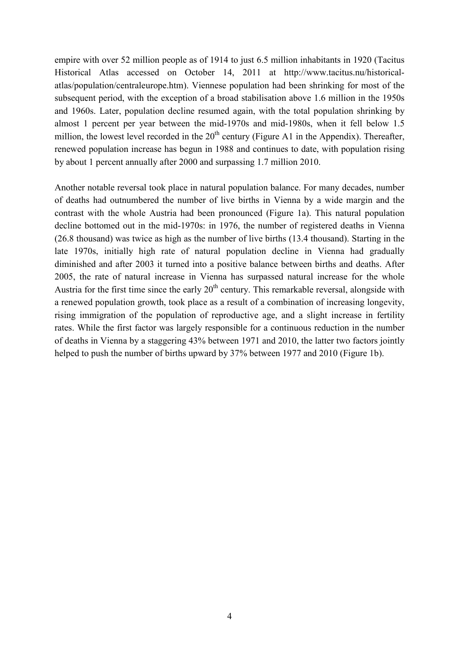empire with over 52 million people as of 1914 to just 6.5 million inhabitants in 1920 (Tacitus Historical Atlas accessed on October 14, 2011 at http://www.tacitus.nu/historicalatlas/population/centraleurope.htm). Viennese population had been shrinking for most of the subsequent period, with the exception of a broad stabilisation above 1.6 million in the 1950s and 1960s. Later, population decline resumed again, with the total population shrinking by almost 1 percent per year between the mid-1970s and mid-1980s, when it fell below 1.5 million, the lowest level recorded in the  $20<sup>th</sup>$  century (Figure A1 in the Appendix). Thereafter, renewed population increase has begun in 1988 and continues to date, with population rising by about 1 percent annually after 2000 and surpassing 1.7 million 2010.

Another notable reversal took place in natural population balance. For many decades, number of deaths had outnumbered the number of live births in Vienna by a wide margin and the contrast with the whole Austria had been pronounced (Figure 1a). This natural population decline bottomed out in the mid-1970s: in 1976, the number of registered deaths in Vienna (26.8 thousand) was twice as high as the number of live births (13.4 thousand). Starting in the late 1970s, initially high rate of natural population decline in Vienna had gradually diminished and after 2003 it turned into a positive balance between births and deaths. After 2005, the rate of natural increase in Vienna has surpassed natural increase for the whole Austria for the first time since the early  $20<sup>th</sup>$  century. This remarkable reversal, alongside with a renewed population growth, took place as a result of a combination of increasing longevity, rising immigration of the population of reproductive age, and a slight increase in fertility rates. While the first factor was largely responsible for a continuous reduction in the number of deaths in Vienna by a staggering 43% between 1971 and 2010, the latter two factors jointly helped to push the number of births upward by 37% between 1977 and 2010 (Figure 1b).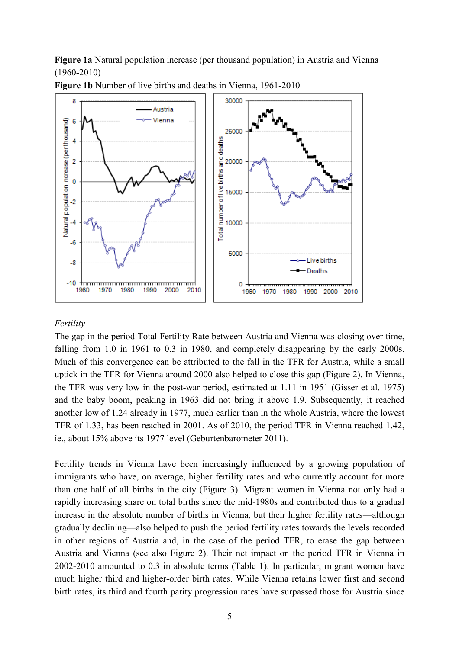**Figure 1a** Natural population increase (per thousand population) in Austria and Vienna (1960-2010)



**Figure 1b** Number of live births and deaths in Vienna, 1961-2010

## *Fertility*

The gap in the period Total Fertility Rate between Austria and Vienna was closing over time, falling from 1.0 in 1961 to 0.3 in 1980, and completely disappearing by the early 2000s. Much of this convergence can be attributed to the fall in the TFR for Austria, while a small uptick in the TFR for Vienna around 2000 also helped to close this gap (Figure 2). In Vienna, the TFR was very low in the post-war period, estimated at 1.11 in 1951 (Gisser et al. 1975) and the baby boom, peaking in 1963 did not bring it above 1.9. Subsequently, it reached another low of 1.24 already in 1977, much earlier than in the whole Austria, where the lowest TFR of 1.33, has been reached in 2001. As of 2010, the period TFR in Vienna reached 1.42, ie., about 15% above its 1977 level (Geburtenbarometer 2011).

Fertility trends in Vienna have been increasingly influenced by a growing population of immigrants who have, on average, higher fertility rates and who currently account for more than one half of all births in the city (Figure 3). Migrant women in Vienna not only had a rapidly increasing share on total births since the mid-1980s and contributed thus to a gradual increase in the absolute number of births in Vienna, but their higher fertility rates—although gradually declining—also helped to push the period fertility rates towards the levels recorded in other regions of Austria and, in the case of the period TFR, to erase the gap between Austria and Vienna (see also Figure 2). Their net impact on the period TFR in Vienna in 2002-2010 amounted to 0.3 in absolute terms (Table 1). In particular, migrant women have much higher third and higher-order birth rates. While Vienna retains lower first and second birth rates, its third and fourth parity progression rates have surpassed those for Austria since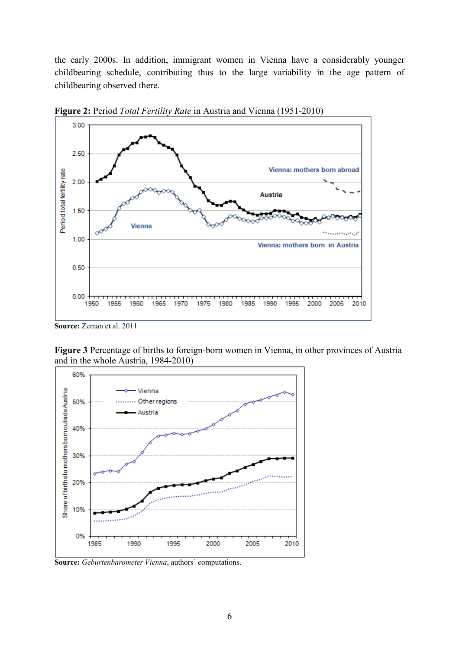the early 2000s. In addition, immigrant women in Vienna have a considerably younger childbearing schedule, contributing thus to the large variability in the age pattern of childbearing observed there.



**Figure 2:** Period *Total Fertility Rate* in Austria and Vienna (1951-2010)

**Figure 3** Percentage of births to foreign-born women in Vienna, in other provinces of Austria and in the whole Austria, 1984-2010)



**Source:** *Geburtenbarometer Vienna*, authors' computations.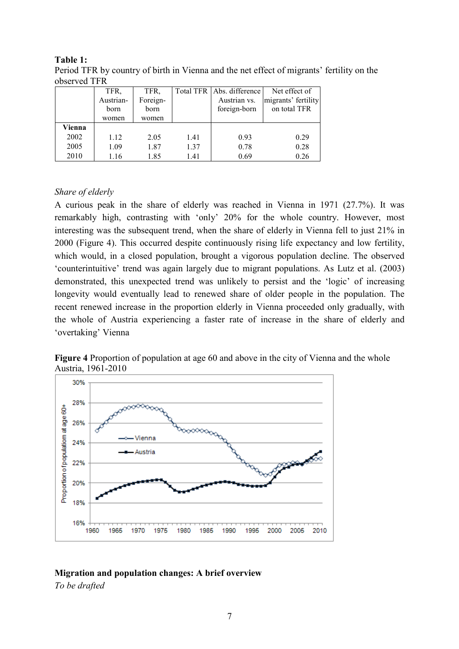| 00001104111 |           |          |      |                           |                     |
|-------------|-----------|----------|------|---------------------------|---------------------|
|             | TFR,      | TFR,     |      | Total TFR Abs. difference | Net effect of       |
|             | Austrian- | Foreign- |      | Austrian vs.              | migrants' fertility |
|             | born      | born     |      | foreign-born              | on total TFR        |
|             | women     | women    |      |                           |                     |
| Vienna      |           |          |      |                           |                     |
| 2002        | 1.12      | 2.05     | 1.41 | 0.93                      | 0.29                |
| 2005        | 1.09      | 1.87     | 1.37 | 0.78                      | 0.28                |
| 2010        | 1.16      | 1.85     | 1.41 | 0.69                      | 0.26                |

**Table 1:**  Period TFR by country of birth in Vienna and the net effect of migrants' fertility on the observed TFR

## *Share of elderly*

A curious peak in the share of elderly was reached in Vienna in 1971 (27.7%). It was remarkably high, contrasting with 'only' 20% for the whole country. However, most interesting was the subsequent trend, when the share of elderly in Vienna fell to just 21% in 2000 (Figure 4). This occurred despite continuously rising life expectancy and low fertility, which would, in a closed population, brought a vigorous population decline. The observed 'counterintuitive' trend was again largely due to migrant populations. As Lutz et al. (2003) demonstrated, this unexpected trend was unlikely to persist and the 'logic' of increasing longevity would eventually lead to renewed share of older people in the population. The recent renewed increase in the proportion elderly in Vienna proceeded only gradually, with the whole of Austria experiencing a faster rate of increase in the share of elderly and 'overtaking' Vienna

**Figure 4** Proportion of population at age 60 and above in the city of Vienna and the whole Austria, 1961-2010



# **Migration and population changes: A brief overview**

*To be drafted*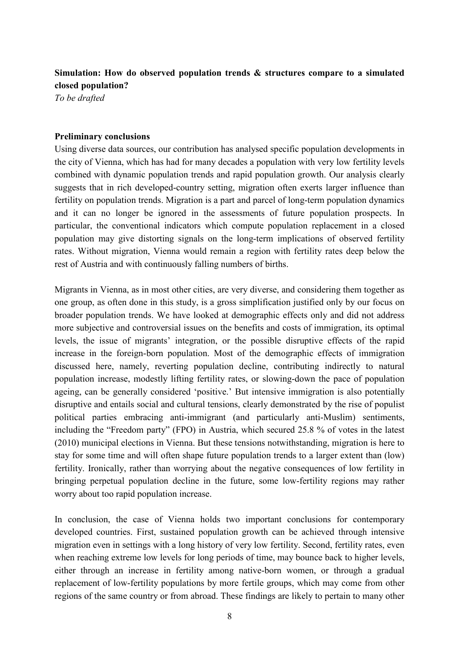## **Simulation: How do observed population trends & structures compare to a simulated closed population?**

*To be drafted* 

#### **Preliminary conclusions**

Using diverse data sources, our contribution has analysed specific population developments in the city of Vienna, which has had for many decades a population with very low fertility levels combined with dynamic population trends and rapid population growth. Our analysis clearly suggests that in rich developed-country setting, migration often exerts larger influence than fertility on population trends. Migration is a part and parcel of long-term population dynamics and it can no longer be ignored in the assessments of future population prospects. In particular, the conventional indicators which compute population replacement in a closed population may give distorting signals on the long-term implications of observed fertility rates. Without migration, Vienna would remain a region with fertility rates deep below the rest of Austria and with continuously falling numbers of births.

Migrants in Vienna, as in most other cities, are very diverse, and considering them together as one group, as often done in this study, is a gross simplification justified only by our focus on broader population trends. We have looked at demographic effects only and did not address more subjective and controversial issues on the benefits and costs of immigration, its optimal levels, the issue of migrants' integration, or the possible disruptive effects of the rapid increase in the foreign-born population. Most of the demographic effects of immigration discussed here, namely, reverting population decline, contributing indirectly to natural population increase, modestly lifting fertility rates, or slowing-down the pace of population ageing, can be generally considered 'positive.' But intensive immigration is also potentially disruptive and entails social and cultural tensions, clearly demonstrated by the rise of populist political parties embracing anti-immigrant (and particularly anti-Muslim) sentiments, including the "Freedom party" (FPO) in Austria, which secured 25.8 % of votes in the latest (2010) municipal elections in Vienna. But these tensions notwithstanding, migration is here to stay for some time and will often shape future population trends to a larger extent than (low) fertility. Ironically, rather than worrying about the negative consequences of low fertility in bringing perpetual population decline in the future, some low-fertility regions may rather worry about too rapid population increase.

In conclusion, the case of Vienna holds two important conclusions for contemporary developed countries. First, sustained population growth can be achieved through intensive migration even in settings with a long history of very low fertility. Second, fertility rates, even when reaching extreme low levels for long periods of time, may bounce back to higher levels, either through an increase in fertility among native-born women, or through a gradual replacement of low-fertility populations by more fertile groups, which may come from other regions of the same country or from abroad. These findings are likely to pertain to many other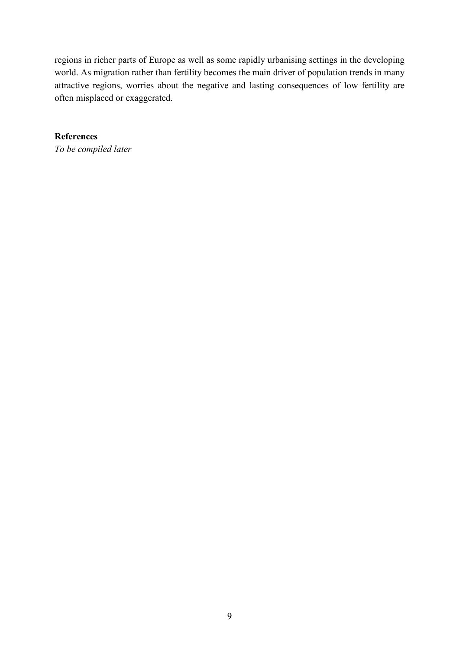regions in richer parts of Europe as well as some rapidly urbanising settings in the developing world. As migration rather than fertility becomes the main driver of population trends in many attractive regions, worries about the negative and lasting consequences of low fertility are often misplaced or exaggerated.

**References**  *To be compiled later*